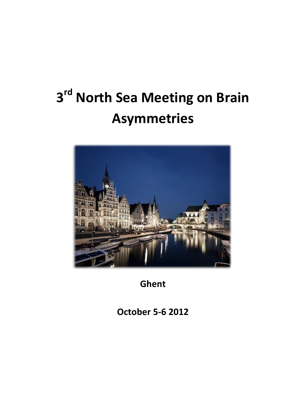# **3 rd North Sea Meeting on Brain Asymmetries**



**Ghent**

**October 5-6 2012**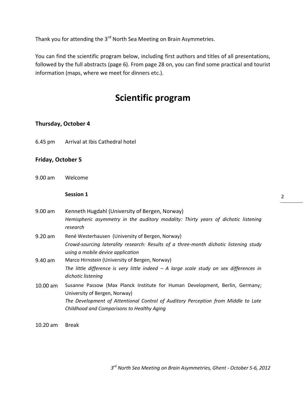Thank you for attending the 3<sup>rd</sup> North Sea Meeting on Brain Asymmetries.

You can find the scientific program below, including first authors and titles of all presentations, followed by the full abstracts (page 6). From page 28 on, you can find some practical and tourist information (maps, where we meet for dinners etc.).

# **Scientific program**

# **Thursday, October 4**

6.45 pm Arrival at Ibis Cathedral hotel

# **Friday, October 5**

9.00 am Welcome

#### **Session 1**

- 9.00 am Kenneth Hugdahl (University of Bergen, Norway) *Hemispheric asymmetry in the auditory modality: Thirty years of dichotic listening research* 9.20 am René Westerhausen (University of Bergen, Norway)
- *Crowd-sourcing laterality research: Results of a three-month dichotic listening study using a mobile device application* 9.40 am Marco Hirnstein (University of Bergen, Norway)
	- *The little difference is very little indeed – A large scale study on sex differences in dichotic listening*
- 10.00 am Susanne Passow (Max Planck Institute for Human Development, Berlin, Germany; University of Bergen, Norway) *The Development of Attentional Control of Auditory Perception from Middle to Late Childhood and Comparisons to Healthy Aging*
- 10.20 am Break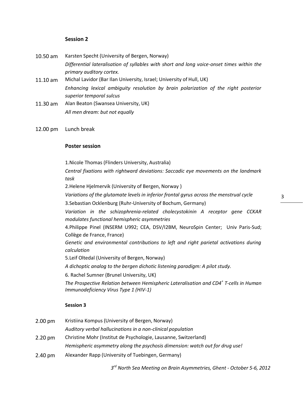#### **Session 2**

- 10.50 am Karsten Specht (University of Bergen, Norway) *Differential lateralisation of syllables with short and long voice-onset times within the primary auditory cortex.*
- 11.10 am Michal Lavidor (Bar Ilan University, Israel; University of Hull, UK) *Enhancing lexical ambiguity resolution by brain polarization of the right posterior superior temporal sulcus*
- 11.30 am Alan Beaton (Swansea University, UK) *All men dream: but not equally*
- 12.00 pm Lunch break

#### **Poster session**

1.Nicole Thomas (Flinders University, Australia)

*Central fixations with rightward deviations: Saccadic eye movements on the landmark task*

2.Helene Hjelmervik (University of Bergen, Norway )

*Variations of the glutamate levels in inferior frontal gyrus across the menstrual cycle*

3.Sebastian Ocklenburg (Ruhr-University of Bochum, Germany)

*Variation in the schizophrenia-related cholecystokinin A receptor gene CCKAR modulates functional hemispheric asymmetries*

4.Philippe Pinel (INSERM U992; CEA, DSV/I2BM, NeuroSpin Center; Univ Paris-Sud; Collège de France, France)

*Genetic and environmental contributions to left and right parietal activations during calculation* 

5.Leif Oltedal (University of Bergen, Norway)

*A dichoptic analog to the bergen dichotic listening paradigm: A pilot study.*

6. Rachel Sumner (Brunel University, UK)

*The Prospective Relation between Hemispheric Lateralisation and CD4<sup>+</sup> T-cells in Human Immunodeficiency Virus Type 1 (HIV-1)*

#### **Session 3**

- 2.00 pm Kristiina Kompus (University of Bergen, Norway) *Auditory verbal hallucinations in a non-clinical population* 2.20 pm Christine Mohr (Institut de Psychologie, Lausanne, Switzerland) *Hemispheric asymmetry along the psychosis dimension: watch out for drug use!*
- 2.40 pm Alexander Rapp (University of Tuebingen, Germany)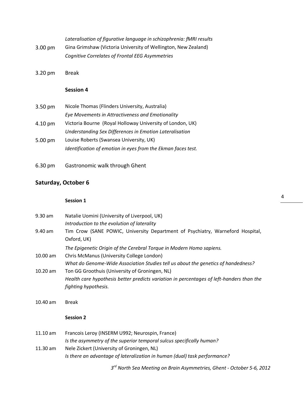|                   | Lateralisation of figurative language in schizophrenia: fMRI results |
|-------------------|----------------------------------------------------------------------|
| $3.00 \text{ pm}$ | Gina Grimshaw (Victoria University of Wellington, New Zealand)       |
|                   | Cognitive Correlates of Frontal EEG Asymmetries                      |

3.20 pm Break

# **Session 4**

| $3.50 \text{ pm}$ | Nicole Thomas (Flinders University, Australia)               |
|-------------------|--------------------------------------------------------------|
|                   | Eye Movements in Attractiveness and Emotionality             |
| 4.10 pm           | Victoria Bourne (Royal Holloway University of London, UK)    |
|                   | Understanding Sex Differences in Emotion Lateralisation      |
| 5.00 pm           | Louise Roberts (Swansea University, UK)                      |
|                   | Identification of emotion in eyes from the Ekman faces test. |

6.30 pm Gastronomic walk through Ghent

# **Saturday, October 6**

# **Session 1**

| $9.30$ am  | Natalie Uomini (University of Liverpool, UK)                                             |
|------------|------------------------------------------------------------------------------------------|
|            | Introduction to the evolution of laterality                                              |
| $9.40$ am  | Tim Crow (SANE POWIC, University Department of Psychiatry, Warneford Hospital,           |
|            | Oxford, UK)                                                                              |
|            | The Epigenetic Origin of the Cerebral Torque in Modern Homo sapiens.                     |
| $10.00$ am | Chris McManus (University College London)                                                |
|            | What do Genome-Wide Association Studies tell us about the genetics of handedness?        |
| $10.20$ am | Ton GG Groothuis (University of Groningen, NL)                                           |
|            | Health care hypothesis better predicts variation in percentages of left-handers than the |
|            | fighting hypothesis.                                                                     |
|            |                                                                                          |
|            |                                                                                          |

10.40 am Break

# **Session 2**

| $11.10$ am | Francois Leroy (INSERM U992; Neurospin, France)                           |
|------------|---------------------------------------------------------------------------|
|            | Is the asymmetry of the superior temporal sulcus specifically human?      |
| $11.30$ am | Nele Zickert (University of Groningen, NL)                                |
|            | Is there an advantage of lateralization in human (dual) task performance? |

*3 rd North Sea Meeting on Brain Asymmetries, Ghent - October 5-6, 2012*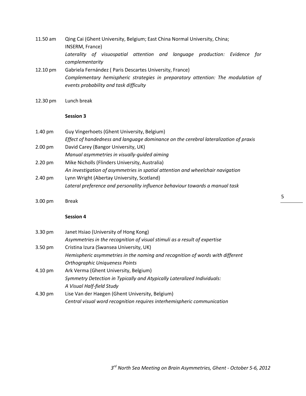- 11.50 am Qing Cai (Ghent University, Belgium; East China Normal University, China; INSERM, France) *Laterality of visuospatial attention and language production: Evidence for complementarity* 12.10 pm Gabriela Fernández ( Paris Descartes University, France) *Complementary hemispheric strategies in preparatory attention: The modulation of events probability and task difficulty*
- 12.30 pm Lunch break

#### **Session 3**

| $1.40 \text{ pm}$ | Guy Vingerhoets (Ghent University, Belgium)                                          |
|-------------------|--------------------------------------------------------------------------------------|
|                   | Effect of handedness and language dominance on the cerebral lateralization of praxis |
| $2.00 \text{ pm}$ | David Carey (Bangor University, UK)                                                  |
|                   | Manual asymmetries in visually-quided aiming                                         |
| $2.20 \text{ pm}$ | Mike Nicholls (Flinders University, Australia)                                       |
|                   | An investigation of asymmetries in spatial attention and wheelchair navigation       |
| $2.40 \text{ pm}$ | Lynn Wright (Abertay University, Scotland)                                           |
|                   | Lateral preference and personality influence behaviour towards a manual task         |

3.00 pm Break

#### **Session 4**

| $3.30 \text{ pm}$ | Janet Hsiao (University of Hong Kong)                                         |
|-------------------|-------------------------------------------------------------------------------|
|                   | Asymmetries in the recognition of visual stimuli as a result of expertise     |
| $3.50 \text{ pm}$ | Cristina Izura (Swansea University, UK)                                       |
|                   | Hemispheric asymmetries in the naming and recognition of words with different |
|                   | <b>Orthographic Uniqueness Points</b>                                         |
| 4.10 pm           | Ark Verma (Ghent University, Belgium)                                         |
|                   | Symmetry Detection in Typically and Atypically Lateralized Individuals:       |
|                   | A Visual Half-field Study                                                     |
| 4.30 pm           | Lise Van der Haegen (Ghent University, Belgium)                               |
|                   | Central visual word recognition requires interhemispheric communication       |

5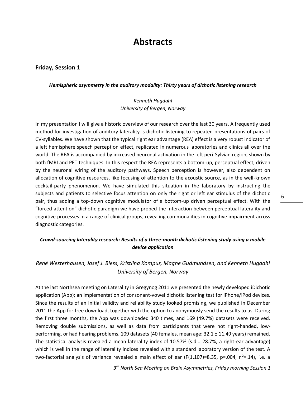# **Abstracts**

#### **Friday, Session 1**

#### *Hemispheric asymmetry in the auditory modality: Thirty years of dichotic listening research*

# *Kenneth Hugdahl University of Bergen, Norway*

In my presentation I will give a historic overview of our research over the last 30 years. A frequently used method for investigation of auditory laterality is dichotic listening to repeated presentations of pairs of CV-syllables. We have shown that the typical right ear advantage (REA) effect is a very robust indicator of a left hemisphere speech perception effect, replicated in numerous laboratories and clinics all over the world. The REA is accompanied by increased neuronal activation in the left peri-Sylvian region, shown by both fMRI and PET techniques. In this respect the REA represents a bottom-up, perceptual effect, driven by the neuronal wiring of the auditory pathways. Speech perception is however, also dependent on allocation of cognitive resources, like focusing of attention to the acoustic source, as in the well-known cocktail-party phenomenon. We have simulated this situation in the laboratory by instructing the subjects and patients to selective focus attention on only the right or left ear stimulus of the dichotic pair, thus adding a top-down cognitive modulator of a bottom-up driven perceptual effect. With the "forced-attention" dichotic paradigm we have probed the interaction between perceptual laterality and cognitive processes in a range of clinical groups, revealing commonalities in cognitive impairment across diagnostic categories.

# *Crowd-sourcing laterality research: Results of a three-month dichotic listening study using a mobile device application*

# *René Westerhausen, Josef J. Bless, Kristiina Kompus, Magne Gudmundsen, and Kenneth Hugdahl University of Bergen, Norway*

At the last Northsea meeting on Laterality in Gregynog 2011 we presented the newly developed iDichotic application (App); an implementation of consonant-vowel dichotic listening test for iPhone/iPod devices. Since the results of an initial validity and reliability study looked promising, we published in December 2011 the App for free download, together with the option to anonymously send the results to us. During the first three months, the App was downloaded 340 times, and 169 (49.7%) datasets were received. Removing double submissions, as well as data from participants that were not right-handed, lowperforming, or had hearing problems, 109 datasets (40 females, mean age: 32.1 ± 11.49 years) remained. The statistical analysis revealed a mean laterality index of 10.57% (s.d.= 28.7%, a right-ear advantage) which is well in the range of laterality indices revealed with a standard laboratory version of the test. A two-factorial analysis of variance revealed a main effect of ear (F(1,107)=8.35, p=.004,  $\eta^2$ =.14), i.e. a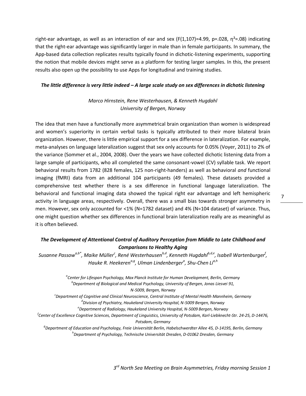right-ear advantage, as well as an interaction of ear and sex (F(1,107)=4.99, p=.028,  $\eta^2$ =.08) indicating that the right-ear advantage was significantly larger in male than in female participants. In summary, the App-based data collection replicates results typically found in dichotic-listening experiments, supporting the notion that mobile devices might serve as a platform for testing larger samples. In this, the present results also open up the possibility to use Apps for longitudinal and training studies.

#### *The little difference is very little indeed – A large scale study on sex differences in dichotic listening*

*Marco Hirnstein, Rene Westerhausen, & Kenneth Hugdahl University of Bergen, Norway*

The idea that men have a functionally more asymmetrical brain organization than women is widespread and women's superiority in certain verbal tasks is typically attributed to their more bilateral brain organization. However, there is little empirical support for a sex difference in lateralization. For example, meta-analyses on language lateralization suggest that sex only accounts for 0.05% (Voyer, 2011) to 2% of the variance (Sommer et al., 2004, 2008). Over the years we have collected dichotic listening data from a large sample of participants, who all completed the same consonant-vowel (CV) syllable task. We report behavioral results from 1782 (828 females, 125 non-right-handers) as well as behavioral *and* functional imaging (fMRI) data from an additional 104 participants (49 females). These datasets provided a comprehensive test whether there is a sex difference in functional language lateralization. The behavioral and functional imaging data showed the typical right ear advantage and left hemispheric activity in language areas, respectively. Overall, there was a small bias towards stronger asymmetry in men. However, sex only accounted for <1% (N=1782 dataset) and 4% (N=104 dataset) of variance. Thus, one might question whether sex differences in functional brain lateralization really are as meaningful as it is often believed.

# *The Development of Attentional Control of Auditory Perception from Middle to Late Childhood and Comparisons to Healthy Aging*

 $S$ usanne Passow $^{a,b^\ast}$ , Maike Müller $^c$ , René Westerhausen $^{b,d}$ , Kenneth Hugdahl $^{b,d,e}$ , Isabell Wartenburger $^f$ , *Hauke R. Heekerena,g, Ulman Lindenberger<sup>a</sup> , Shu-Chen Lia,h*

> *a Center for Lifespan Psychology, Max Planck Institute for Human Development, Berlin, Germany b Department of Biological and Medical Psychology, University of Bergen, Jonas Liesvei 91, N-5009, Bergen, Norway*

*c Department of Cognitive and Clinical Neuroscience, Central Institute of Mental Health Mannheim, Germany d Division of Psychiatry, Haukeland University Hospital, N-5009 Bergen, Norway*

*e Department of Radiology, Haukeland University Hospital, N-5009 Bergen, Norway*

*f Center of Excellence Cognitive Sciences, Department of Linguistics, University of Potsdam, Karl-Liebknecht-Str. 24-25, D-14476, Potsdam, Germany*

*g Department of Education and Psychology, Freie Universität Berlin, Habelschwerdter Allee 45, D-14195, Berlin, Germany h Department of Psychology, Technische Universität Dresden, D-01062 Dresden, Germany*

*3 rd North Sea Meeting on Brain Asymmetries, Friday morning Session 1*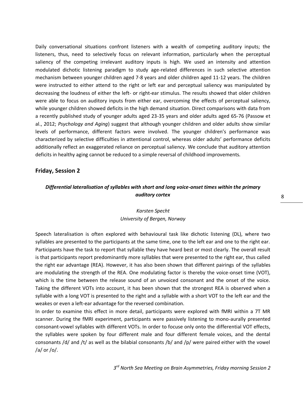Daily conversational situations confront listeners with a wealth of competing auditory inputs; the listeners, thus, need to selectively focus on relevant information, particularly when the perceptual saliency of the competing irrelevant auditory inputs is high. We used an intensity and attention modulated dichotic listening paradigm to study age-related differences in such selective attention mechanism between younger children aged 7-8 years and older children aged 11-12 years. The children were instructed to either attend to the right or left ear and perceptual saliency was manipulated by decreasing the loudness of either the left- or right-ear stimulus. The results showed that older children were able to focus on auditory inputs from either ear, overcoming the effects of perceptual saliency, while younger children showed deficits in the high demand situation. Direct comparisons with data from a recently published study of younger adults aged 23-35 years and older adults aged 65-76 (Passow et al., 2012; *Psychology and Aging*) suggest that although younger children and older adults show similar levels of performance, different factors were involved. The younger children's performance was characterized by selective difficulties in attentional control, whereas older adults' performance deficits additionally reflect an exaggerated reliance on perceptual saliency. We conclude that auditory attention deficits in healthy aging cannot be reduced to a simple reversal of childhood improvements.

#### **Friday, Session 2**

# *Differential lateralisation of syllables with short and long voice-onset times within the primary auditory cortex*

# *Karsten Specht University of Bergen, Norway*

Speech lateralisation is often explored with behavioural task like dichotic listening (DL), where two syllables are presented to the participants at the same time, one to the left ear and one to the right ear. Participants have the task to report that syllable they have heard best or most clearly. The overall result is that participants report predominantly more syllables that were presented to the right ear, thus called the right ear advantage (REA). However, it has also been shown that different pairings of the syllables are modulating the strength of the REA. One modulating factor is thereby the voice-onset time (VOT), which is the time between the release sound of an unvoiced consonant and the onset of the voice. Taking the different VOTs into account, it has been shown that the strongest REA is observed when a syllable with a long VOT is presented to the right and a syllable with a short VOT to the left ear and the weakes or even a left-ear advantage for the reversed combination.

In order to examine this effect in more detail, participants were explored with fMRI within a 7T MR scanner. During the fMRI experiment, participants were passively listening to mono-aurally presented consonant-vowel syllables with different VOTs. In order to focuse only onto the differential VOT effects, the syllables were spoken by four different male and four different female voices, and the dental consonants /d/ and /t/ as well as the bilabial consonants /b/ and /p/ were paired either with the vowel /a/ or /o/.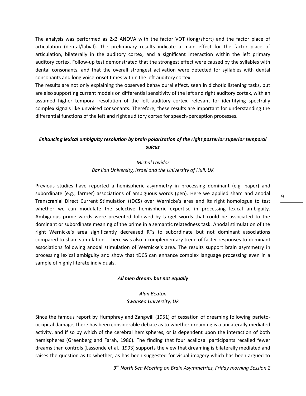The analysis was performed as 2x2 ANOVA with the factor VOT (long/short) and the factor place of articulation (dental/labial). The preliminary results indicate a main effect for the factor place of articulation, bilaterally in the auditory cortex, and a significant interaction within the left primary auditory cortex. Follow-up test demonstrated that the strongest effect were caused by the syllables with dental consonants, and that the overall strongest activation were detected for syllables with dental consonants and long voice-onset times within the left auditory cortex.

The results are not only explaining the observed behavioural effect, seen in dichotic listening tasks, but are also supporting current models on differential sensitivity of the left and right auditory cortex, with an assumed higher temporal resolution of the left auditory cortex, relevant for identifying spectrally complex signals like unvoiced consonants. Therefore, these results are important for understanding the differential functions of the left and right auditory cortex for speech-perception processes.

# *Enhancing lexical ambiguity resolution by brain polarization of the right posterior superior temporal sulcus*

# *Michal Lavidor Bar Ilan University, Israel and the University of Hull, UK*

Previous studies have reported a hemispheric asymmetry in processing dominant (e.g. paper) and subordinate (e.g., farmer) associations of ambiguous words (pen). Here we applied sham and anodal Transcranial Direct Current Stimulation (tDCS) over Wernicke's area and its right homologue to test whether we can modulate the selective hemispheric expertise in processing lexical ambiguity. Ambiguous prime words were presented followed by target words that could be associated to the dominant or subordinate meaning of the prime in a semantic relatedness task. Anodal stimulation of the right Wernicke's area significantly decreased RTs to subordinate but not dominant associations compared to sham stimulation. There was also a complementary trend of faster responses to dominant associations following anodal stimulation of Wernicke's area. The results support brain asymmetry in processing lexical ambiguity and show that tDCS can enhance complex language processing even in a sample of highly literate individuals.

#### *All men dream: but not equally*

# *Alan Beaton Swansea University, UK*

Since the famous report by Humphrey and Zangwill (1951) of cessation of dreaming following parietooccipital damage, there has been considerable debate as to whether dreaming is a unilaterally mediated activity, and if so by which of the cerebral hemispheres, or is dependent upon the interaction of both hemispheres (Greenberg and Farah, 1986). The finding that four acallosal participants recalled fewer dreams than controls (Lassonde et al., 1993) supports the view that dreaming is bilaterally mediated and raises the question as to whether, as has been suggested for visual imagery which has been argued to

*3 rd North Sea Meeting on Brain Asymmetries, Friday morning Session 2*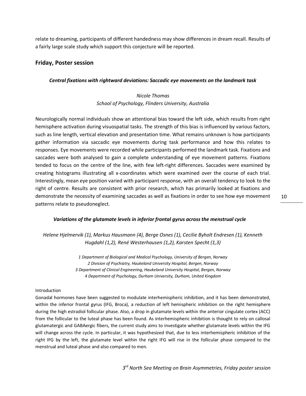relate to dreaming, participants of different handedness may show differences in dream recall. Results of a fairly large scale study which support this conjecture will be reported.

## **Friday, Poster session**

#### *Central fixations with rightward deviations: Saccadic eye movements on the landmark task*

# *Nicole Thomas School of Psychology, Flinders University, Australia*

Neurologically normal individuals show an attentional bias toward the left side, which results from right hemisphere activation during visuospatial tasks. The strength of this bias is influenced by various factors, such as line length, vertical elevation and presentation time. What remains unknown is how participants gather information via saccadic eye movements during task performance and how this relates to responses. Eye movements were recorded while participants performed the landmark task. Fixations and saccades were both analysed to gain a complete understanding of eye movement patterns. Fixations tended to focus on the centre of the line, with few left-right differences. Saccades were examined by creating histograms illustrating all x-coordinates which were examined over the course of each trial. Interestingly, mean eye position varied with participant response, with an overall tendency to look to the right of centre. Results are consistent with prior research, which has primarily looked at fixations and demonstrate the necessity of examining saccades as well as fixations in order to see how eye movement patterns relate to pseudoneglect.

#### *Variations of the glutamate levels in inferior frontal gyrus across the menstrual cycle*

*Helene Hjelmervik (1), Markus Hausmann (4), Berge Osnes (1), Cecilie Byholt Endresen (1), Kenneth Hugdahl (1,2), René Westerhausen (1,2), Karsten Specht (1,3)*

> *1 Department of Biological and Medical Psychology, University of Bergen, Norway 2 Division of Psychiatry, Haukeland University Hospital, Bergen, Norway 3 Department of Clinical Engineering, Haukeland University Hospital, Bergen, Norway 4 Department of Psychology, Durham University, Durham, United Kingdom*

#### Introduction

Gonadal hormones have been suggested to modulate interhemispheric inhibition, and it has been demonstrated, within the inferior frontal gyrus (IFG, Broca), a reduction of left hemispheric inhibition on the right hemisphere during the high estradiol follicular phase. Also, a drop in glutamate levels within the anterior cingulate cortex (ACC) from the follicular to the luteal phase has been found. As interhemispheric inhibition is thought to rely on callosal glutamatergic and GABAergic fibers, the current study aims to investigate whether glutamate levels within the IFG will change across the cycle. In particular, it was hypothesized that, due to less interhemispheric inhibition of the right IFG by the left, the glutamate level within the right IFG will rise in the follicular phase compared to the menstrual and luteal phase and also compared to men.

*3 rd North Sea Meeting on Brain Asymmetries, Friday poster session*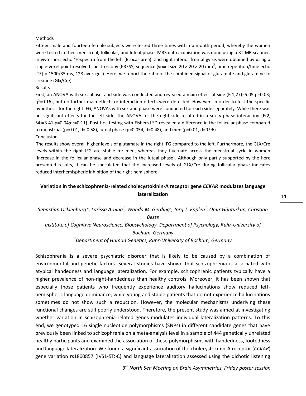#### Methods

Fifteen male and fourteen female subjects were tested three times within a month period, whereby the women were tested in their menstrual, follicular, and luteal phase. MRS data acquisition was done using a 3T MR scanner. In vivo short echo  $^1$ H-spectra from the left (Brocas area) and right inferior frontal gyrus were obtained by using a single-voxel point-resolved spectroscopy (PRESS) sequence (voxel size 20 × 20 × 20 mm<sup>3</sup>, time repetition/time echo [TE] = 1500/35 ms, 128 averages). Here, we report the ratio of the combined signal of glutamate and glutamine to creatine (Glx/Cre)

#### Results

First, an ANOVA with sex, phase, and side was conducted and revealed a main effect of side (F(1,27)=5.05;p=0.03;  $\eta^2$ =0.16), but no further main effects or interaction effects were detected. However, in order to test the specific hypothesis for the right IFG, ANOVAs with sex and phase were conducted for each side separately. While there was no significant effects for the left side, the ANOVA for the right side resulted in a sex  $\times$  phase interaction (F(2, 54)=3.41;p=0.04;η<sup>2</sup>=0.11). Post hoc testing with Fishers LSD revealed a difference in the follicular phase compared to menstrual (p=0.01, d= 0.58), luteal phase (p=0.054, d=0.48), and men (p=0.01, d=0.96)

#### Conclusion

The results show overall higher levels of glutamate in the right IFG compared to the left. Furthermore, the GLX/Cre levels within the right IFG are stable for men, whereas they fluctuate across the menstrual cycle in women (increase in the follicular phase and decrease in the luteal phase). Although only partly supported by the here presented results, it can be speculated that the increased levels of GLX/Cre during follicular phase indicates reduced interhemispheric inhibition of the right hemisphere.

# **Variation in the schizophrenia-related cholecystokinin-A receptor gene** *CCKAR* **modulates language lateralization**

# *Sebastian Ocklenburg\*, Larissa Arning† , Wanda M. Gerding† , Jörg T. Epplen† , Onur Güntürkün, Christian Beste Institute of Cognitive Neuroscience, Biopsychology, Department of Psychology, Ruhr-University of Bochum, Germany*

*†Department of Human Genetics, Ruhr-University of Bochum, Germany*

Schizophrenia is a severe psychiatric disorder that is likely to be caused by a combination of environmental and genetic factors. Several studies have shown that schizophrenia is associated with atypical handedness and language lateralization. For example, schizophrenic patients typically have a higher prevalence of non-right-handedness than healthy controls. Moreover, it has been shown that especially those patients who frequently experience auditory hallucinations show reduced lefthemispheric language dominance, while young and stable patients that do not experience hallucinations sometimes do not show such a reduction. However, the molecular mechanisms underlying these functional changes are still poorly understood. Therefore, the present study was aimed at investigating whether variation in schizophrenia-related genes modulates individual lateralization patterns. To this end, we genotyped 16 single nucleotide polymorphisms (SNPs) in different candidate genes that have previously been linked to schizophrenia on a meta-analysis level in a sample of 444 genetically unrelated healthy participants and examined the association of these polymorphisms with handedness, footedness and language lateralization. We found a significant association of the cholecystokinin-A receptor (*CCKAR*) gene variation rs1800857 (IVS1-5T>C) and language lateralization assessed using the dichotic listening

*3 rd North Sea Meeting on Brain Asymmetries, Friday poster session*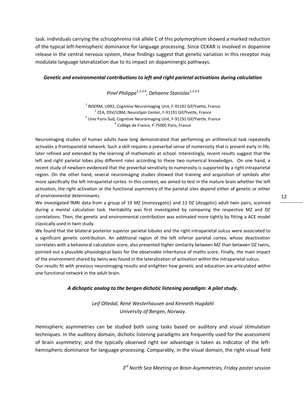task. Individuals carrying the schizophrenia risk allele C of this polymorphism showed a marked reduction of the typical left-hemispheric dominance for language processing. Since CCKAR is involved in dopamine release in the central nervous system, these findings suggest that genetic variation in this receptor may modulate language lateralization due to its impact on dopaminergic pathways.

#### *Genetic and environmental contributions to left and right parietal activations during calculation*

*Pinel Philippe1,2,3,4 , Dehaene Stanislas1,2,3,4*

 $1$ INSERM, U992, Cognitive Neuroimaging Unit, F-91191 Gif/Yvette, France <sup>2</sup> CEA, DSV/I2BM, NeuroSpin Center, F-91191 Gif/Yvette, France <sup>3</sup> Univ Paris-Sud, Cognitive Neuroimaging Unit, F-91191 Gif/Yvette, France <sup>4</sup> Collège de France, F-75005 Paris, France

Neuroimaging studies of human adults have long demonstrated that performing an arithmetical task repeatedly activates a frontoparietal network. Such a skill requires a preverbal sense of numerosity that is present early in life, later refined and extended by the learning of mathematic at school. Interestingly, recent results suggest that the left and right parietal lobes play different roles according to these two numerical knowledges. On one hand, a recent study of newborn evidenced that the preverbal sensitivity to numerosity is supported by a right intraparietal region. On the other hand, several neuroimaging studies showed that training and acquisition of symbols alter more specifically the left intraparietal cortex. In this context, we aimed to test in the mature brain whether the left activation, the right activation or the functional asymmetry of the parietal sites depend either of genetic or either of environmental determinants.

We investigated fMRI data from a group of 19 MZ (monozygotic) and 13 DZ (dizygotic) adult twin pairs, scanned during a mental calculation task. Heritability was first investigated by comparing the respective MZ and DZ correlations. Then, the genetic and environmental contribution was estimated more tightly by fitting a ACE model classically used in twin study.

We found that the bilateral posterior superior parietal lobules and the right intraparietal sulcus were associated to a significant genetic contribution. An additional region of the left inferior parietal cortex, whose deactivation correlates with a behavioral calculation score, also presented higher similarity between MZ than between DZ twins, pointed out a plausible physiological basis for the observable inheritance of maths score. Finally, the main impact of the environment shared by twins was found in the lateralization of activation within the intraparietal sulcus. Our results fit with previous neuroimaging results and enlighten how genetic and education are articulated within one functional network in the adult brain.

#### *A dichoptic analog to the bergen dichotic listening paradigm: A pilot study.*

*Leif Oltedal, René Westerhausen and Kenneth Hugdahl University of Bergen, Norway.*

Hemispheric asymmetries can be studied both using tasks based on auditory and visual stimulation techniques. In the auditory domain, dichotic listening paradigms are frequently used for the assessment of brain asymmetry; and the typically observed right ear advantage is taken as indicator of the lefthemispheric dominance for language processing. Comparably, in the visual domain, the right-visual field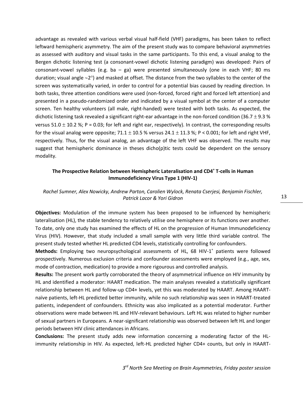advantage as revealed with various verbal visual half-field (VHF) paradigms, has been taken to reflect leftward hemispheric asymmetry. The aim of the present study was to compare behavioral asymmetries as assessed with auditory and visual tasks in the same participants. To this end, a visual analog to the Bergen dichotic listening test (a consonant-vowel dichotic listening paradigm) was developed: Pairs of consonant-vowel syllables (e.g. ba  $-$  ga) were presented simultaneously (one in each VHF; 80 ms duration; visual angle  $\sim$ 2°) and masked at offset. The distance from the two syllables to the center of the screen was systematically varied, in order to control for a potential bias caused by reading direction. In both tasks, three attention conditions were used (non-forced, forced right and forced left attention) and presented in a pseudo-randomized order and indicated by a visual symbol at the center of a computer screen. Ten healthy volunteers (all male, right-handed) were tested with both tasks. As expected, the dichotic listening task revealed a significant right-ear advantage in the non-forced condition (36.7  $\pm$  9.3 % versus 51.0  $\pm$  10.2 %; P = 0.03; for left and right ear, respectively). In contrast, the corresponding results for the visual analog were opposite;  $71.1 \pm 10.5$  % versus 24.1  $\pm$  11.3 %; P < 0.001; for left and right VHF, respectively. Thus, for the visual analog, an advantage of the left VHF was observed. The results may suggest that hemispheric dominance in theses dicho(p)tic tests could be dependent on the sensory modality.

## **The Prospective Relation between Hemispheric Lateralisation and CD4<sup>+</sup> T-cells in Human Immunodeficiency Virus Type 1 (HIV-1)**

#### *Rachel Sumner, Alex Nowicky, Andrew Parton, Carolien Wylock, Renata Cserjesi, Benjamin Fischler, Patrick Lacor & Yori Gidron*

**Objectives:** Modulation of the immune system has been proposed to be influenced by hemispheric lateralisation (HL), the stable tendency to relatively utilise one hemisphere or its functions over another. To date, only one study has examined the effects of HL on the progression of Human Immunodeficiency Virus (HIV). However, that study included a small sample with very little third variable control. The present study tested whether HL predicted CD4 levels, statistically controlling for confounders.

Methods: Employing two neuropsychological assessments of HL, 68 HIV-1<sup>+</sup> patients were followed prospectively. Numerous exclusion criteria and confounder assessments were employed (e.g., age, sex, mode of contraction, medication) to provide a more rigourous and controlled analysis.

**Results:** The present work partly corroborated the theory of asymmetrical influence on HIV immunity by HL and identified a moderator: HAART medication. The main analyses revealed a statistically significant relationship between HL and follow-up CD4+ levels, yet this was moderated by HAART. Among HAARTnaïve patients, left-HL predicted better immunity, while no such relationship was seen in HAART-treated patients, independent of confounders. Ethnicity was also implicated as a potential moderator. Further observations were made between HL and HIV-relevant behaviours. Left HL was related to higher number of sexual partners in Europeans. A near-significant relationship was observed between left HL and longer periods between HIV clinic attendances in Africans.

**Conclusions:** The present study adds new information concerning a moderating factor of the HLimmunity relationship in HIV. As expected, left-HL predicted higher CD4+ counts, but only in HAART-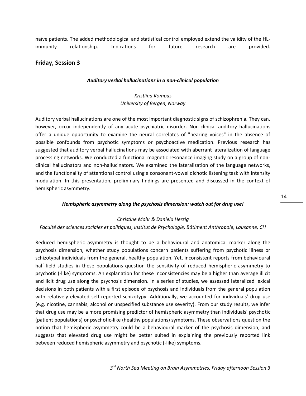naïve patients. The added methodological and statistical control employed extend the validity of the HLimmunity relationship. Indications for future research are provided.

## **Friday, Session 3**

#### *Auditory verbal hallucinations in a non-clinical population*

# *Kristiina Kompus University of Bergen, Norway*

Auditory verbal hallucinations are one of the most important diagnostic signs of schizophrenia. They can, however, occur independently of any acute psychiatric disorder. Non-clinical auditory hallucinations offer a unique opportunity to examine the neural correlates of "hearing voices" in the absence of possible confounds from psychotic symptoms or psychoactive medication. Previous research has suggested that auditory verbal hallucinations may be associated with aberrant lateralization of language processing networks. We conducted a functional magnetic resonance imaging study on a group of nonclinical hallucinators and non-hallucinators. We examined the lateralization of the language networks, and the functionality of attentional control using a consonant-vowel dichotic listening task with intensity modulation. In this presentation, preliminary findings are presented and discussed in the context of hemispheric asymmetry.

#### *Hemispheric asymmetry along the psychosis dimension: watch out for drug use!*

#### *Christine Mohr & Daniela Herzig*

#### *Faculté des sciences sociales et politiques, Institut de Psychologie, Bâtiment Anthropole, Lausanne, CH*

Reduced hemispheric asymmetry is thought to be a behavioural and anatomical marker along the psychosis dimension, whether study populations concern patients suffering from psychotic illness or schizotypal individuals from the general, healthy population. Yet, inconsistent reports from behavioural half-field studies in these populations question the sensitivity of reduced hemispheric asymmetry to psychotic (-like) symptoms. An explanation for these inconsistencies may be a higher than average illicit and licit drug use along the psychosis dimension. In a series of studies, we assessed lateralized lexical decisions in both patients with a first episode of psychosis and individuals from the general population with relatively elevated self-reported schizotypy. Additionally, we accounted for individuals' drug use (e.g. nicotine, cannabis, alcohol or unspecified substance use severity). From our study results, we infer that drug use may be a more promising predictor of hemispheric asymmetry than individuals' psychotic (patient populations) or psychotic-like (healthy populations) symptoms. These observations question the notion that hemispheric asymmetry could be a behavioural marker of the psychosis dimension, and suggests that elevated drug use might be better suited in explaining the previously reported link between reduced hemispheric asymmetry and psychotic (-like) symptoms.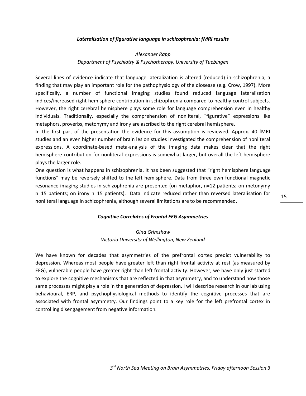#### *Lateralisation of figurative language in schizophrenia: fMRI results*

# *Alexander Rapp Department of Psychiatry & Psychotherapy, University of Tuebingen*

Several lines of evidence indicate that language lateralization is altered (reduced) in schizophrenia, a finding that may play an important role for the pathophysiology of the diosease (e.g. Crow, 1997). More specifically, a number of functional imaging studies found reduced language lateralisation indices/increased right hemisphere contribution in schizophrenia compared to healthy control subjects. However, the right cerebral hemisphere plays some role for language comprehension even in healthy individuals. Traditionally, especially the comprehension of nonliteral, "figurative" expressions like metaphors, proverbs, metonymy and irony are ascribed to the right cerebral hemisphere.

In the first part of the presentation the evidence for this assumption is reviewed. Approx. 40 fMRI studies and an even higher number of brain lesion studies investigated the comprehension of nonliteral expressions. A coordinate-based meta-analysis of the imaging data makes clear that the right hemisphere contribution for nonliteral expressions is somewhat larger, but overall the left hemisphere plays the larger role.

One question is what happens in schizophrenia. It has been suggested that "right hemisphere language functions" may be reversely shifted to the left hemisphere. Data from three own functional magnetic resonance imaging studies in schizophrenia are presented (on metaphor, n=12 patients; on metonymy n=15 patients; on irony n=15 patients). Data indicate reduced rather than reversed lateralisation for nonliteral language in schizophrenia, although several limitations are to be recommended.

#### *Cognitive Correlates of Frontal EEG Asymmetries*

# *Gina Grimshaw Victoria University of Wellington, New Zealand*

We have known for decades that asymmetries of the prefrontal cortex predict vulnerability to depression. Whereas most people have greater left than right frontal activity at rest (as measured by EEG), vulnerable people have greater right than left frontal activity. However, we have only just started to explore the cognitive mechanisms that are reflected in that asymmetry, and to understand how those same processes might play a role in the generation of depression. I will describe research in our lab using behavioural, ERP, and psychophysiological methods to identify the cognitive processes that are associated with frontal asymmetry. Our findings point to a key role for the left prefrontal cortex in controlling disengagement from negative information.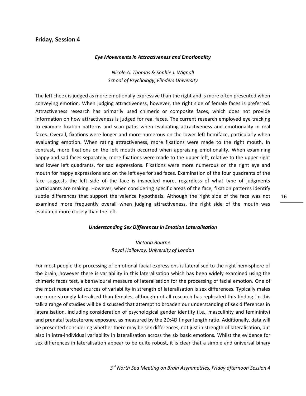#### **Friday, Session 4**

#### *Eye Movements in Attractiveness and Emotionality*

*Nicole A. Thomas & Sophie J. Wignall School of Psychology, Flinders University*

The left cheek is judged as more emotionally expressive than the right and is more often presented when conveying emotion. When judging attractiveness, however, the right side of female faces is preferred. Attractiveness research has primarily used chimeric or composite faces, which does not provide information on how attractiveness is judged for real faces. The current research employed eye tracking to examine fixation patterns and scan paths when evaluating attractiveness and emotionality in real faces. Overall, fixations were longer and more numerous on the lower left hemiface, particularly when evaluating emotion. When rating attractiveness, more fixations were made to the right mouth. In contrast, more fixations on the left mouth occurred when appraising emotionality. When examining happy and sad faces separately, more fixations were made to the upper left, relative to the upper right and lower left quadrants, for sad expressions. Fixations were more numerous on the right eye and mouth for happy expressions and on the left eye for sad faces. Examination of the four quadrants of the face suggests the left side of the face is inspected more, regardless of what type of judgments participants are making. However, when considering specific areas of the face, fixation patterns identify subtle differences that support the valence hypothesis. Although the right side of the face was not examined more frequently overall when judging attractiveness, the right side of the mouth was evaluated more closely than the left.

#### *Understanding Sex Differences in Emotion Lateralisation*

# *Victoria Bourne Royal Holloway, University of London*

For most people the processing of emotional facial expressions is lateralised to the right hemisphere of the brain; however there is variability in this lateralisation which has been widely examined using the chimeric faces test, a behavioural measure of lateralisation for the processing of facial emotion. One of the most researched sources of variability in strength of lateralisation is sex differences. Typically males are more strongly lateralised than females, although not all research has replicated this finding. In this talk a range of studies will be discussed that attempt to broaden our understanding of sex differences in lateralisation, including consideration of psychological gender identity (i.e., masculinity and femininity) and prenatal testosterone exposure, as measured by the 2D:4D finger length ratio. Additionally, data will be presented considering whether there may be sex differences, not just in strength of lateralisation, but also in intra-individual variability in lateralisation across the six basic emotions. Whilst the evidence for sex differences in lateralisation appear to be quite robust, it is clear that a simple and universal binary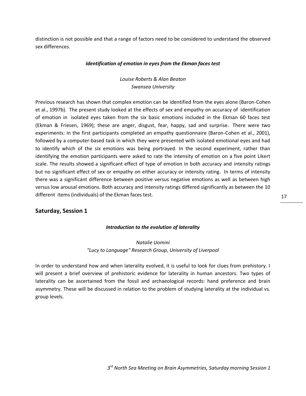distinction is not possible and that a range of factors need to be considered to understand the observed sex differences.

#### *Identification of emotion in eyes from the Ekman faces test*

*Louise Roberts & Alan Beaton Swansea University*

Previous research has shown that complex emotion can be identified from the eyes alone (Baron-Cohen et al., 1997b). The present study looked at the effects of sex and empathy on accuracy of identification of emotion in isolated eyes taken from the six basic emotions included in the Ekman 60 faces test (Ekman & Friesen, 1969); these are anger, disgust, fear, happy, sad and surprise. There were two experiments: in the first participants completed an empathy questionnaire (Baron-Cohen et al., 2001), followed by a computer-based task in which they were presented with isolated emotional eyes and had to identify which of the six emotions was being portrayed. In the second experiment, rather than identifying the emotion participants were asked to rate the intensity of emotion on a five point Likert scale. The results showed a significant effect of type of emotion in both accuracy and intensity ratings but no significant effect of sex or empathy on either accuracy or intensity rating. In terms of intensity there was a significant difference between positive versus negative emotions as well as between high versus low arousal emotions. Both accuracy and intensity ratings differed significantly as between the 10 different items (individuals) of the Ekman faces test.

# **Saturday, Session 1**

#### *Introduction to the evolution of laterality*

# *Natalie Uomini "Lucy to Language" Research Group, University of Liverpool*

In order to understand how and when laterality evolved, it is useful to look for clues from prehistory. I will present a brief overview of prehistoric evidence for laterality in human ancestors. Two types of laterality can be ascertained from the fossil and archaeological records: hand preference and brain asymmetry. These will be discussed in relation to the problem of studying laterality at the individual vs. group levels.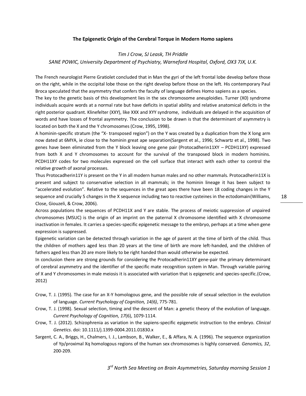#### **The Epigenetic Origin of the Cerebral Torque in Modern Homo sapiens**

# *Tim J Crow, SJ Leask, TH Priddle SANE POWIC, University Department of Psychiatry, Warneford Hospital, Oxford, OX3 7JX, U.K.*

The French neurologist Pierre Gratiolet concluded that in Man the gyri of the left frontal lobe develop before those on the right, while in the occipital lobe those on the right develop before those on the left. His contemporary Paul Broca speculated that the asymmetry that confers the faculty of language defines Homo sapiens as a species.

The key to the genetic basis of this development lies in the sex chromosome aneuploidies. Turner (X0) syndrome individuals acquire words at a normal rate but have deficits in spatial ability and relative anatomical deficits in the right posterior quadrant. Klinefelter (XXY), like XXX and XYY syndrome, individuals are delayed in the acquisition of words and have losses of frontal asymmetry. The conclusion to be drawn is that the determinant of asymmetry is located on both the X and the Y chromosomes [\(Crow, 1995,](#page-17-0) [1998\)](#page-17-1).

A hominin-specific stratum (the "X- transposed region") on the Y was created by a duplication from the X long arm now dated at 6MYA, ie close to the hominin great ape separation[\(Sargent et al., 1996;](#page-17-2) [Schwartz et al., 1998\)](#page-18-0). Two genes have been eliminated from the Y block leaving one gene pair (Protocadherin11XY – PCDH11XY) expressed from both X and Y chromosomes to account for the survival of the transposed block in modern hominins. PCDH11XY codes for two molecules expressed on the cell surface that interact with each other to control the relative growth of axonal processes.

Thus Protocadherin11Y is present on the Y in all modern human males and no other mammals. Protocadherin11X is present and subject to conservative selection in all mammals; in the hominin lineage it has been subject to "accelerated evolution". Relative to the sequences in the great apes there have been 18 coding changes in the Y sequence and crucially 5 changes in the X sequence including two to reactive cysteines in the ectodomain[\(Williams,](#page-18-1)  [Close, Giouzeli, & Crow, 2006\)](#page-18-1).

Across populations the sequences of PCDH11X and Y are stable. The process of meiotic suppression of unpaired chromosomes (MSUC) is the origin of an imprint on the paternal X chromosome identified with X chromosome inactivation in females. It carries a species-specific epigenetic message to the embryo, perhaps at a time when gene expression is suppressed.

Epigenetic variation can be detected through variation in the age of parent at the time of birth of the child. Thus the children of mothers aged less than 20 years at the time of birth are more left-handed, and the children of fathers aged less than 20 are more likely to be right handed than would otherwise be expected.

In conclusion there are strong grounds for considering the Protocadherin11XY gene-pair the primary determinant of cerebral asymmetry and the identifier of the specific mate recognition system in Man. Through variable pairing of X and Y chromosomes in male meiosis it is associated with variation that is epigenetic and species-specific.[\(Crow,](#page-17-3)  [2012\)](#page-17-3)

- <span id="page-17-0"></span>Crow, T. J. (1995). The case for an X-Y homologous gene, and the possible role of sexual selection in the evolution of language. *Current Psychology of Cognition, 14(6)*, 775-781.
- <span id="page-17-1"></span>Crow, T. J. (1998). Sexual selection, timing and the descent of Man: a genetic theory of the evolution of language. *Current Psychology of Cognition, 17*(6), 1079-1114.
- <span id="page-17-3"></span>Crow, T. J. (2012). Schizophrenia as variation in the sapiens-specific epigenetic instruction to the embryo. *Clinical Genetics*. doi: 10.1111/j.1399-0004.2011.01830.x
- <span id="page-17-2"></span>Sargent, C. A., Briggs, H., Chalmers, I. J., Lambson, B., Walker, E., & Affara, N. A. (1996). The sequence organization of Yp/proximal Xq homologous regions of the human sex chromosomes is highly conserved. *Genomics, 32*, 200-209.

*3 rd North Sea Meeting on Brain Asymmetries, Saturday morning Session 1*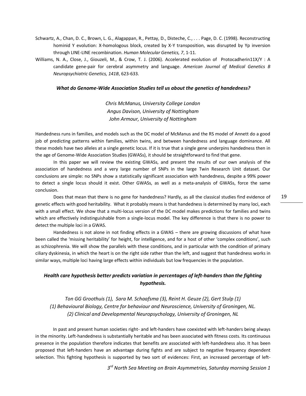- <span id="page-18-0"></span>Schwartz, A., Chan, D. C., Brown, L. G., Alagappan, R., Pettay, D., Disteche, C., . . . Page, D. C. (1998). Reconstructing hominid Y evolution: X-homologous block, created by X-Y transposition, was disrupted by Yp inversion through LINE-LINE recombination. *Human Molecular Genetics, 7*, 1-11.
- <span id="page-18-1"></span>Williams, N. A., Close, J., Giouzeli, M., & Crow, T. J. (2006). Accelerated evolution of Protocadherin11X/Y : A candidate gene-pair for cerebral asymmetry and language. *American Journal of Medical Genetics B Neuropsychiatric Genetics, 141B*, 623-633.

#### *What do Genome-Wide Association Studies tell us about the genetics of handedness?*

*Chris McManus, University College London Angus Davison, University of Nottingham John Armour, University of Nottingham*

Handedness runs in families, and models such as the DC model of McManus and the RS model of Annett do a good job of predicting patterns within families, within twins, and between handedness and language dominance. All these models have two alleles at a single genetic locus. If it is true that a single gene underpins handedness then in the age of Genome-Wide Association Studies (GWASs), it should be straightforward to find that gene.

In this paper we will review the existing GWASs, and present the results of our own analysis of the association of handedness and a very large number of SNPs in the large Twin Research Unit dataset. Our conclusions are simple: no SNPs show a statistically significant association with handedness, despite a 99% power to detect a single locus should it exist. Other GWASs, as well as a meta-analysis of GWASs, force the same conclusion.

Does that mean that there is no gene for handedness? Hardly, as all the classical studies find evidence of genetic effects with good heritability. What it probably means is that handedness is determined by many loci, each with a small effect. We show that a multi-locus version of the DC model makes predictions for families and twins which are effectively indistinguishable from a single-locus model. The key difference is that there is no power to detect the multiple loci in a GWAS.

Handedness is not alone in not finding effects in a GWAS – there are growing discussions of what have been called the 'missing heritability' for height, for intelligence, and for a host of other 'complex conditions', such as schizophrenia. We will show the parallels with these conditions, and in particular with the condition of primary ciliary dyskinesia, in which the heart is on the right side rather than the left, and suggest that handedness works in similar ways, multiple loci having large effects within individuals but low frequencies in the population.

# *Health care hypothesis better predicts variation in percentages of left-handers than the fighting hypothesis.*

*Ton GG Groothuis (1), Sara M. Schaafsma (3), Reint H. Geuze (2), Gert Stulp (1) (1) Behavioural Biology, Centre for behaviour and Neuroscience, University of Groningen, NL. (2) Clinical and Developmental Neuropsychology, University of Groningen, NL*

In past and present human societies right- and left-handers have coexisted with left-handers being always in the minority. Left-handedness is substantially heritable and has been associated with fitness costs. Its continuous presence in the population therefore indicates that benefits are associated with left-handedness also. It has been proposed that left-handers have an advantage during fights and are subject to negative frequency dependent selection. This fighting hypothesis is supported by two sort of evidences: First, an increased percentage of left-

*3 rd North Sea Meeting on Brain Asymmetries, Saturday morning Session 1*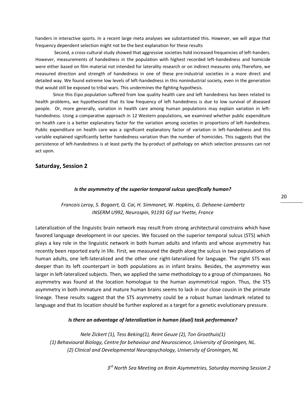handers in interactive sports. In a recent large meta analyses we substantiated this. However, we will argue that frequency dependent selection might not be the best explanation for these results

Second, a cross-cultural study showed that aggressive societies hold increased frequencies of left-handers. However, measurements of handedness in the population with highest recorded left-handedness and homicide were either based on film material not intended for laterality research or on indirect measures only.Therefore, we measured direction and strength of handedness in one of these pre-industrial societies in a more direct and detailed way. We found extreme low levels of left-handedness in this nonindustrial society, even in the generation that would still be exposed to tribal wars. This undermines the fighting hypothesis.

Since this Eipo population suffered from low quality health care and left handedness has been related to health problems, we hypothesised that its low frequency of left handedness is due to low survival of diseased people. Or, more generally, variation in health care among human populations may explain variation in lefthandedness. Using a comparative approach in 12 Western populations, we examined whether public expenditure on health care is a better explanatory factor for the variation among societies in proportions of left-handedness. Public expenditure on health care was a significant explanatory factor of variation in left-handedness and this variable explained significantly better handedness variation than the number of homicides. This suggests that the persistence of left-handedness is at least partly the by-product of pathology on which selection pressures can not act upon.

#### **Saturday, Session 2**

#### *Is the asymmetry of the superior temporal sulcus specifically human?*

# *Francois Leroy, S. Bogaert, Q. Cai, H. Simmonet, W. Hopkins, G. Dehaene-Lambertz INSERM U992, Neurospin, 91191 Gif sur Yvette, France*

Lateralization of the linguistic brain network may result from strong architectural constrains which have favored language development in our species. We focused on the superior temporal sulcus (STS) which plays a key role in the linguistic network in both human adults and infants and whose asymmetry has recently been reported early in life. First, we measured the depth along the sulcus in two populations of human adults, one left-lateralized and the other one right-lateralized for language. The right STS was deeper than its left counterpart in both populations as in infant brains. Besides, the asymmetry was larger in left-lateralized subjects. Then, we applied the same methodology to a group of chimpanzees. No asymmetry was found at the location homologue to the human asymmetrical region. Thus, the STS asymmetry in both immature and mature human brains seems to lack in our close cousin in the primate lineage. These results suggest that the STS asymmetry could be a robust human landmark related to language and that its location should be further explored as a target for a genetic evolutionary pressure.

#### *Is there an advantage of lateralization in human (dual) task performance?*

*Nele Zickert (1), Tess Beking(1), Reint Geuze (2), Ton Groothuis(1) (1) Behavioural Biology, Centre for behaviour and Neuroscience, University of Groningen, NL. (2) Clinical and Developmental Neuropsychology, University of Groningen, NL*

*3 rd North Sea Meeting on Brain Asymmetries, Saturday morning Session 2*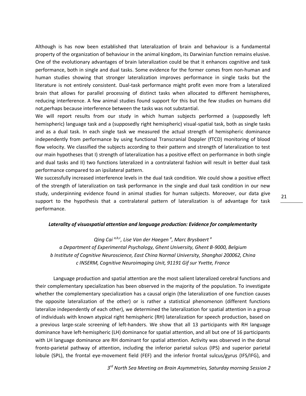Although is has now been established that lateralization of brain and behaviour is a fundamental property of the organization of behaviour in the animal kingdom, its Darwinian function remains elusive. One of the evolutionary advantages of brain lateralization could be that it enhances cognitive and task performance, both in single and dual tasks. Some evidence for the former comes from non-human and human studies showing that stronger lateralization improves performance in single tasks but the literature is not entirely consistent. Dual-task performance might profit even more from a lateralized brain that allows for parallel processing of distinct tasks when allocated to different hemispheres, reducing interference. A few animal studies found support for this but the few studies on humans did not,perhaps because interference between the tasks was not substantial.

We will report results from our study in which human subjects performed a (supposedly left hemispheric) language task and a (supposedly right hemispheric) visual-spatial task, both as single tasks and as a dual task. In each single task we measured the actual strength of hemispheric dominance independently from performance by using functional Transcranial Doppler (fTCD) monitoring of blood flow velocity. We classified the subjects according to their pattern and strength of lateralization to test our main hypotheses that I) strength of lateralization has a positive effect on performance in both single and dual tasks and II) two functions lateralized in a contralateral fashion will result in better dual task performance compared to an ipsilateral pattern.

We successfully increased interference levels in the dual task condition. We could show a positive effect of the strength of lateralization on task performance in the single and dual task condition in our new study, underpinning evidence found in animal studies for human subjects. Moreover, our data give support to the hypothesis that a contralateral pattern of lateralization is of advantage for task performance.

#### *Laterality of visuospatial attention and language production: Evidence for complementarity*

*Qing Cai a,b,c , Lise Van der Haegen <sup>a</sup> , Marc Brysbaert <sup>a</sup> a Department of Experimental Psychology, Ghent University, Ghent B-9000, Belgium b Institute of Cognitive Neuroscience, East China Normal University, Shanghai 200062, China c INSERM, Cognitive Neuroimaging Unit, 91191 Gif sur Yvette, France*

Language production and spatial attention are the most salient lateralized cerebral functions and their complementary specialization has been observed in the majority of the population. To investigate whether the complementary specialization has a causal origin (the lateralization of one function causes the opposite lateralization of the other) or is rather a statistical phenomenon (different functions lateralize independently of each other), we determined the lateralization for spatial attention in a group of individuals with known atypical right hemispheric (RH) lateralization for speech production, based on a previous large-scale screening of left-handers. We show that all 13 participants with RH language dominance have left-hemispheric (LH) dominance for spatial attention, and all but one of 16 participants with LH language dominance are RH dominant for spatial attention. Activity was observed in the dorsal fronto-parietal pathway of attention, including the inferior parietal sulcus (IPS) and superior parietal lobule (SPL), the frontal eye-movement field (FEF) and the inferior frontal sulcus/gyrus (IFS/IFG), and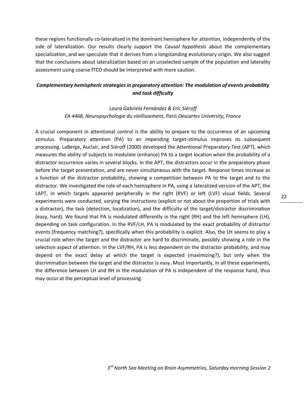these regions functionally co-lateralized in the dominant hemisphere for attention, independently of the side of lateralization. Our results clearly support the *Causal hypothesis* about the complementary specialization, and we speculate that it derives from a longstanding evolutionary origin. We also suggest that the conclusions about lateralization based on an unselected sample of the population and laterality assessment using coarse fTCD should be interpreted with more caution.

# *Complementary hemispheric strategies in preparatory attention: The modulation of events probability and task difficulty*

# *Laura Gabriela Fernández & Eric Siéroff EA 4468, Neuropsychologie du vieillissement, Paris Descartes University, France*

A crucial component in attentional control is the ability to prepare to the occurrence of an upcoming stimulus. Preparatory attention (PA) to an impending target-stimulus improves its subsequent processing. LaBerge, Auclair, and Siéroff (2000) developed the Attentional Preparatory Test (APT), which measures the ability of subjects to modulate (enhance) PA to a target location when the probability of a distractor occurrence varies in several blocks. In the APT, the distractors occur in the preparatory phase before the target presentation, and are never simultaneous with the target. Response times increase as a function of the distractor probability, showing a competition between PA to the target and to the distractor. We investigated the role of each hemisphere in PA, using a lateralized version of the APT, the LAPT, in which targets appeared peripherally in the right (RVF) or left (LVF) visual fields. Several experiments were conducted, varying the instructions (explicit or not about the proportion of trials with a distractor), the task (detection, localization), and the difficulty of the target/distractor discrimination (easy, hard). We found that PA is modulated differently in the right (RH) and the left hemisphere (LH), depending on task configuration. In the RVF/LH, PA is modulated by the exact probability of distractor events (frequency matching?), specifically when this probability is explicit. Also, the LH seems to play a crucial role when the target and the distractor are hard to discriminate, possibly showing a role in the selection aspect of attention. In the LVF/RH, PA is less dependent on the distractor probability, and may depend on the exact delay at which the target is expected (maximizing?), but only when the discrimination between the target and the distractor is easy. Most importantly, in all these experiments, the difference between LH and RH in the modulation of PA is independent of the response hand, thus may occur at the perceptual level of processing.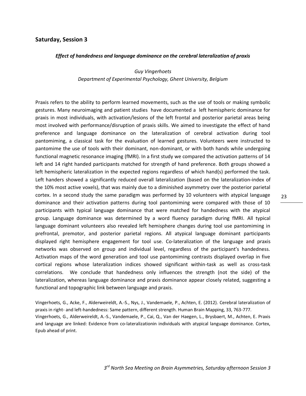#### **Saturday, Session 3**

#### *Effect of handedness and language dominance on the cerebral lateralization of praxis*

*Guy Vingerhoets Department of Experimental Psychology, Ghent University, Belgium*

Praxis refers to the ability to perform learned movements, such as the use of tools or making symbolic gestures. Many neuroimaging and patient studies have documented a left hemispheric dominance for praxis in most individuals, with activation/lesions of the left frontal and posterior parietal areas being most involved with performance/disruption of praxis skills. We aimed to investigate the effect of hand preference and language dominance on the lateralization of cerebral activation during tool pantomiming, a classical task for the evaluation of learned gestures. Volunteers were instructed to pantomime the use of tools with their dominant, non-dominant, or with both hands while undergoing functional magnetic resonance imaging (fMRI). In a first study we compared the activation patterns of 14 left and 14 right handed participants matched for strength of hand preference. Both groups showed a left hemispheric lateralization in the expected regions regardless of which hand(s) performed the task. Left handers showed a significantly reduced overall lateralization (based on the lateralization-index of the 10% most active voxels), that was mainly due to a diminished asymmetry over the posterior parietal cortex. In a second study the same paradigm was performed by 10 volunteers with atypical language dominance and their activation patterns during tool pantomiming were compared with those of 10 participants with typical language dominance that were matched for handedness with the atypical group. Language dominance was determined by a word fluency paradigm during fMRI. All typical language dominant volunteers also revealed left hemisphere changes during tool use pantomiming in prefrontal, premotor, and posterior parietal regions. All atypical language dominant participants displayed right hemisphere engagement for tool use. Co-lateralization of the language and praxis networks was observed on group and individual level, regardless of the participant's handedness. Activation maps of the word generation and tool use pantomiming contrasts displayed overlap in five cortical regions whose lateralization indices showed significant within-task as well as cross-task correlations. We conclude that handedness only influences the strength (not the side) of the lateralization, whereas language dominance and praxis dominance appear closely related, suggesting a functional and topographic link between language and praxis.

Vingerhoets, G., Acke, F., Alderweireldt, A.-S., Nys, J., Vandemaele, P., Achten, E. (2012). Cerebral lateralization of praxis in right- and left-handedness: Same pattern, different strength. Human Brain Mapping, 33, 763-777. Vingerhoets, G., Alderweireldt, A.-S., Vandemaele, P., Cai, Q., Van der Haegen, L., Brysbaert, M., Achten, E. Praxis and language are linked: Evidence from co-lateralizationin individuals with atypical language dominance. Cortex, Epub ahead of print.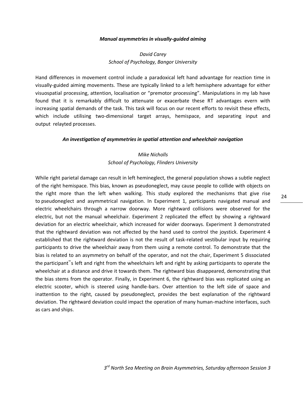#### *Manual asymmetries in visually-guided aiming*

# *David Carey School of Psychology, Bangor University*

Hand differences in movement control include a paradoxical left hand advantage for reaction time in visually-guided aiming movements. These are typically linked to a left hemisphere advantage for either visuospatial processing, attention, localisation or "premotor processing". Manipulations in my lab have found that it is remarkably difficult to attenuate or exacerbate these RT advantages evern with increasing spatial demands of the task. This task will focus on our recent efforts to revisit these effects, which include utilising two-dimensional target arrays, hemispace, and separating input and output relayted processes.

#### *An investigation of asymmetries in spatial attention and wheelchair navigation*

# *Mike Nicholls School of Psychology, Flinders University*

While right parietal damage can result in left hemineglect, the general population shows a subtle neglect of the right hemispace. This bias, known as pseudoneglect, may cause people to collide with objects on the right more than the left when walking. This study explored the mechanisms that give rise to pseudoneglect and asymmetrical navigation. In Experiment 1, participants navigated manual and electric wheelchairs through a narrow doorway. More rightward collisions were observed for the electric, but not the manual wheelchair. Experiment 2 replicated the effect by showing a rightward deviation for an electric wheelchair, which increased for wider doorways. Experiment 3 demonstrated that the rightward deviation was not affected by the hand used to control the joystick. Experiment 4 established that the rightward deviation is not the result of task-related vestibular input by requiring participants to drive the wheelchair away from them using a remote control. To demonstrate that the bias is related to an asymmetry on behalf of the operator, and not the chair, Experiment 5 dissociated the participant"s left and right from the wheelchairs left and right by asking participants to operate the wheelchair at a distance and drive it towards them. The rightward bias disappeared, demonstrating that the bias stems from the operator. Finally, in Experiment 6, the rightward bias was replicated using an electric scooter, which is steered using handle-bars. Over attention to the left side of space and inattention to the right, caused by pseudoneglect, provides the best explanation of the rightward deviation. The rightward deviation could impact the operation of many human-machine interfaces, such as cars and ships.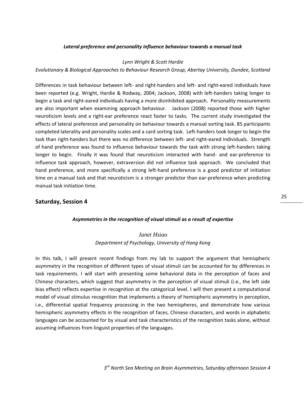#### *Lateral preference and personality influence behaviour towards a manual task*

#### *Lynn Wright & Scott Hardie*

#### *Evolutionary & Biological Approaches to Behaviour Research Group, Abertay University, Dundee, Scotland*

Differences in task behaviour between left- and right-handers and left- and right-eared individuals have been reported (e.g. Wright, Hardie & Rodway, 2004; Jackson, 2008) with left-handers taking longer to begin a task and right-eared individuals having a more disinhibited approach. Personality measurements are also important when examining approach behaviour. Jackson (2008) reported those with higher neuroticism levels and a right-ear preference react faster to tasks. The current study investigated the effects of lateral preference and personality on behaviour towards a manual sorting task. 85 participants completed laterality and personality scales and a card sorting task. Left-handers took longer to begin the task than right-handers but there was no difference between left- and right-eared individuals. Strength of hand preference was found to influence behaviour towards the task with strong left-handers taking longer to begin. Finally it was found that neuroticism interacted with hand- and ear-preference to influence task approach, however, extraversion did not influence task approach. We concluded that hand preference, and more specifically a strong left-hand preference is a good predictor of initiation time on a manual task and that neuroticism is a stronger predictor than ear-preference when predicting manual task initiation time.

#### **Saturday, Session 4**

#### *Asymmetries in the recognition of visual stimuli as a result of expertise*

# *Janet Hsiao Department of Psychology, University of Hong Kong*

In this talk, I will present recent findings from my lab to support the argument that hemispheric asymmetry in the recognition of different types of visual stimuli can be accounted for by differences in task requirements. I will start with presenting some behavioral data in the perception of faces and Chinese characters, which suggest that asymmetry in the perception of visual stimuli (i.e., the left side bias effect) reflects expertise in recognition at the categorical level. I will then present a computational model of visual stimulus recognition that implements a theory of hemispheric asymmetry in perception, i.e., differential spatial frequency processing in the two hemispheres, and demonstrate how various hemispheric asymmetry effects in the recognition of faces, Chinese characters, and words in alphabetic languages can be accounted for by visual and task characteristics of the recognition tasks alone, without assuming influences from linguist properties of the languages.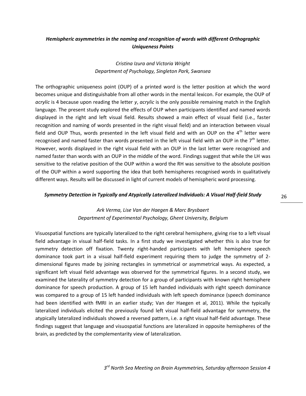# *Hemispheric asymmetries in the naming and recognition of words with different Orthographic Uniqueness Points*

# *Cristina Izura and Victoria Wright Department of Psychology, Singleton Park, Swansea*

The orthographic uniqueness point (OUP) of a printed word is the letter position at which the word becomes unique and distinguishable from all other words in the mental lexicon. For example, the OUP of *acrylic* is 4 because upon reading the letter *y*, *acrylic* is the only possible remaining match in the English language. The present study explored the effects of OUP when participants identified and named words displayed in the right and left visual field. Results showed a main effect of visual field (i.e., faster recognition and naming of words presented in the right visual field) and an interaction between visual field and OUP Thus, words presented in the left visual field and with an OUP on the  $4<sup>th</sup>$  letter were recognised and named faster than words presented in the left visual field with an OUP in the  $7<sup>th</sup>$  letter. However, words displayed in the right visual field with an OUP in the last letter were recognised and named faster than words with an OUP in the middle of the word. Findings suggest that while the LH was sensitive to the relative position of the OUP within a word the RH was sensitive to the absolute position of the OUP within a word supporting the idea that both hemispheres recognised words in qualitatively different ways. Results will be discussed in light of current models of hemispheric word processing.

#### *Symmetry Detection in Typically and Atypically Lateralized Individuals: A Visual Half-field Study*

# *Ark Verma, Lise Van der Haegen & Marc Brysbaert Department of Experimental Psychology, Ghent University, Belgium*

Visuospatial functions are typically lateralized to the right cerebral hemisphere, giving rise to a left visual field advantage in visual half-field tasks. In a first study we investigated whether this is also true for symmetry detection off fixation. Twenty right-handed participants with left hemisphere speech dominance took part in a visual half-field experiment requiring them to judge the symmetry of 2 dimensional figures made by joining rectangles in symmetrical or asymmetrical ways. As expected, a significant left visual field advantage was observed for the symmetrical figures. In a second study, we examined the laterality of symmetry detection for a group of participants with known right hemisphere dominance for speech production. A group of 15 left handed individuals with right speech dominance was compared to a group of 15 left handed individuals with left speech dominance (speech dominance had been identified with fMRI in an earlier study; Van der Haegen et al, 2011). While the typically lateralized individuals elicited the previously found left visual half-field advantage for symmetry, the atypically lateralized individuals showed a reversed pattern, i.e. a right visual half-field advantage. These findings suggest that language and visuospatial functions are lateralized in opposite hemispheres of the brain, as predicted by the complementarity view of lateralization.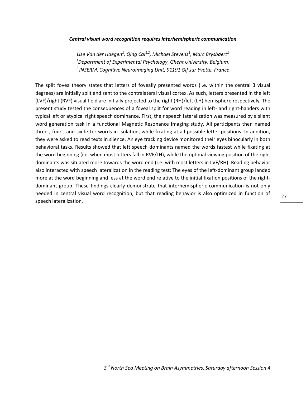#### *Central visual word recognition requires interhemispheric communication*

*Lise Van der Haegen<sup>1</sup> , Qing Cai1,2, Michael Stevens<sup>1</sup> , Marc Brysbaert<sup>1</sup> <sup>1</sup>Department of Experimental Psychology, Ghent University, Belgium. <sup>2</sup>INSERM, Cognitive Neuroimaging Unit, 91191 Gif sur Yvette, France*

The split fovea theory states that letters of foveally presented words (i.e. within the central 3 visual degrees) are initially split and sent to the contralateral visual cortex. As such, letters presented in the left (LVF)/right (RVF) visual field are initially projected to the right (RH)/left (LH) hemisphere respectively. The present study tested the consequences of a foveal split for word reading in left- and right-handers with typical left or atypical right speech dominance. First, their speech lateralization was measured by a silent word generation task in a functional Magnetic Resonance Imaging study. All participants then named three-, four-, and six-letter words in isolation, while fixating at all possible letter positions. In addition, they were asked to read texts in silence. An eye tracking device monitored their eyes binocularly in both behavioral tasks. Results showed that left speech dominants named the words fastest while fixating at the word beginning (i.e. when most letters fall in RVF/LH), while the optimal viewing position of the right dominants was situated more towards the word end (i.e. with most letters in LVF/RH). Reading behavior also interacted with speech lateralization in the reading test: The eyes of the left-dominant group landed more at the word beginning and less at the word end relative to the initial fixation positions of the rightdominant group. These findings clearly demonstrate that interhemispheric communication is not only needed in central visual word recognition, but that reading behavior is also optimized in function of speech lateralization.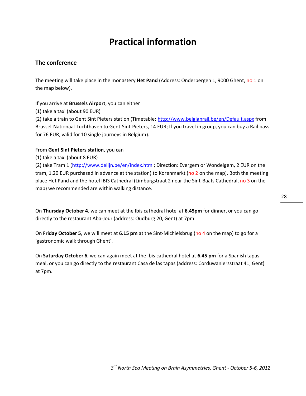# **Practical information**

# **The conference**

The meeting will take place in the monastery **Het Pand** (Address: Onderbergen 1, 9000 Ghent, no 1 on the map below).

If you arrive at **Brussels Airport**, you can either

(1) take a taxi (about 90 EUR)

(2) take a train to Gent Sint Pieters station (Timetable:<http://www.belgianrail.be/en/Default.aspx> from Brussel-Nationaal-Luchthaven to Gent-Sint-Pieters, 14 EUR; If you travel in group, you can buy a Rail pass for 76 EUR, valid for 10 single journeys in Belgium).

#### From **Gent Sint Pieters station**, you can

(1) take a taxi (about 8 EUR)

(2) take Tram 1 [\(http://www.delijn.be/en/index.htm](http://www.delijn.be/en/index.htm) ; Direction: Evergem or Wondelgem, 2 EUR on the tram, 1.20 EUR purchased in advance at the station) to Korenmarkt (no 2 on the map). Both the meeting place Het Pand and the hotel IBIS Cathedral (Limburgstraat 2 near the Sint-Baafs Cathedral, no 3 on the map) we recommended are within walking distance.

On **Thursday October 4**, we can meet at the Ibis cathedral hotel at **6.45pm** for dinner, or you can go directly to the restaurant Aba-Jour (address: Oudburg 20, Gent) at 7pm.

On **Friday October 5**, we will meet at **6.15 pm** at the Sint-Michielsbrug (no 4 on the map) to go for a 'gastronomic walk through Ghent'.

On **Saturday October 6**, we can again meet at the Ibis cathedral hotel at **6.45 pm** for a Spanish tapas meal, or you can go directly to the restaurant Casa de las tapas (address: Corduwaniersstraat 41, Gent) at 7pm.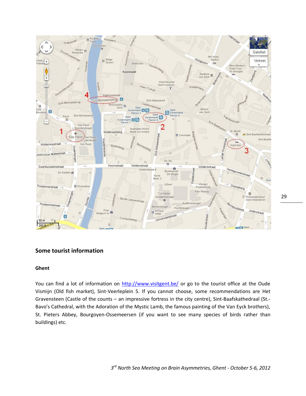

# **Some tourist information**

#### **Ghent**

You can find a lot of information on<http://www.visitgent.be/> or go to the tourist office at the Oude Vismijn (Old fish market), Sint-Veerleplein 5. If you cannot choose, some recommendations are Het Gravensteen (Castle of the counts – an impressive fortress in the city centre), Sint-Baafskathedraal (St.- Bavo's Cathedral, with the Adoration of the Mystic Lamb, the famous painting of the Van Eyck brothers), St. Pieters Abbey, Bourgoyen-Ossemeersen (if you want to see many species of birds rather than buildings) etc.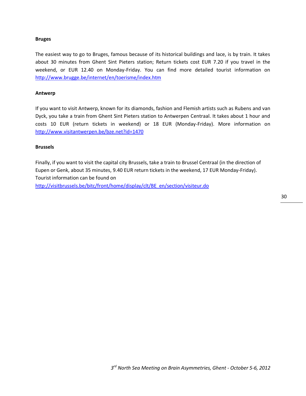#### **Bruges**

The easiest way to go to Bruges, famous because of its historical buildings and lace, is by train. It takes about 30 minutes from Ghent Sint Pieters station; Return tickets cost EUR 7.20 if you travel in the weekend, or EUR 12.40 on Monday-Friday. You can find more detailed tourist information on <http://www.brugge.be/internet/en/toerisme/index.htm>

#### **Antwerp**

If you want to visit Antwerp, known for its diamonds, fashion and Flemish artists such as Rubens and van Dyck, you take a train from Ghent Sint Pieters station to Antwerpen Centraal. It takes about 1 hour and costs 10 EUR (return tickets in weekend) or 18 EUR (Monday-Friday). More information on <http://www.visitantwerpen.be/bze.net?id=1470>

#### **Brussels**

Finally, if you want to visit the capital city Brussels, take a train to Brussel Centraal (in the direction of Eupen or Genk, about 35 minutes, 9.40 EUR return tickets in the weekend, 17 EUR Monday-Friday). Tourist information can be found on

[http://visitbrussels.be/bitc/front/home/display/clt/BE\\_en/section/visiteur.do](http://visitbrussels.be/bitc/front/home/display/clt/BE_en/section/visiteur.do)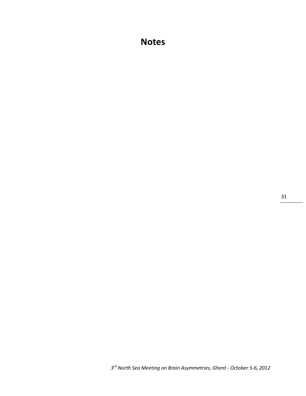# **Notes**